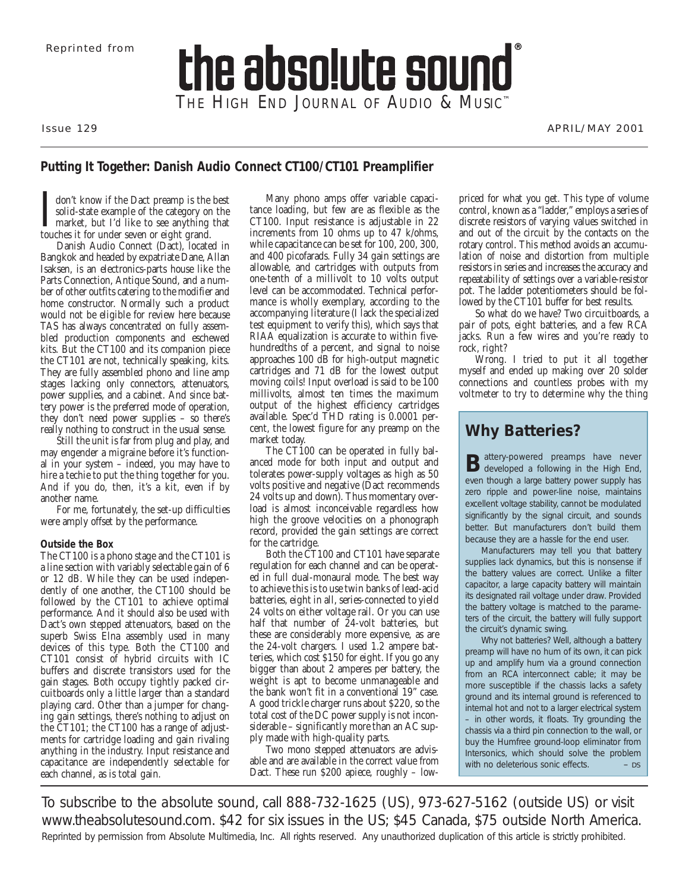# the absolute sound THE HIGH END JOURNAL OF AUDIO & MUSIC<sup>™</sup>

Issue 129 APRIL/MAY 2001

# **Putting It Together: Danish Audio Connect CT100/CT101 Preamplifier**

I don't know if the Dact preamp is the solid-state example of the category or market, but I'd like to see anything touches it for under seven or eight grand. don't know if the Dact preamp is the best solid-state example of the category on the market, but I'd like to see anything that

Danish Audio Connect (Dact), located in Bangkok and headed by expatriate Dane, Allan Isaksen, is an electronics-parts house like the Parts Connection, Antique Sound, and a number of other outfits catering to the modifier and home constructor. Normally such a product would not be eligible for review here because TAS has always concentrated on fully assembled production components and eschewed kits. But the CT100 and its companion piece the CT101 are not, technically speaking, kits. They are fully assembled phono and line amp stages lacking only connectors, attenuators, power supplies, and a cabinet. And since battery power is the preferred mode of operation, they don't need power supplies – so there's really nothing to construct in the usual sense.

Still the unit is far from plug and play, and may engender a migraine before it's functional in your system – indeed, you may have to hire a techie to put the thing together for you. And if you do, then, it's a kit, even if by another name.

For me, fortunately, the set-up difficulties were amply offset by the performance.

## **Outside the Box**

The CT100 is a phono stage and the CT101 is a line section with variably selectable gain of 6 or 12 dB. While they can be used independently of one another, the CT100 should be followed by the CT101 to achieve optimal performance. And it should also be used with Dact's own stepped attenuators, based on the superb Swiss Elna assembly used in many devices of this type. Both the CT100 and CT101 consist of hybrid circuits with IC buffers and discrete transistors used for the gain stages. Both occupy tightly packed circuitboards only a little larger than a standard playing card. Other than a jumper for changing gain settings, there's nothing to adjust on the CT101; the CT100 has a range of adjustments for cartridge loading and gain rivaling anything in the industry. Input resistance and capacitance are independently selectable for each channel, as is total gain.

Many phono amps offer variable capacitance loading, but few are as flexible as the CT100. Input resistance is adjustable in 22 increments from 10 ohms up to 47 k/ohms, while capacitance can be set for 100, 200, 300, and 400 picofarads. Fully 34 gain settings are allowable, and cartridges with outputs from one-tenth of a millivolt to 10 volts output level can be accommodated. Technical performance is wholly exemplary, according to the accompanying literature (I lack the specialized test equipment to verify this), which says that RIAA equalization is accurate to within fivehundredths of a percent, and signal to noise approaches 100 dB for high-output magnetic cartridges and 71 dB for the lowest output moving coils! Input overload is said to be 100 millivolts, almost ten times the maximum output of the highest efficiency cartridges available. Spec'd THD rating is 0.0001 percent, the lowest figure for any preamp on the market today.

The CT100 can be operated in fully balanced mode for both input and output and tolerates power-supply voltages as high as 50 volts positive and negative (Dact recommends 24 volts up and down). Thus momentary overload is almost inconceivable regardless how high the groove velocities on a phonograph record, provided the gain settings are correct for the cartridge.

Both the CT100 and CT101 have separate regulation for each channel and can be operated in full dual-monaural mode. The best way to achieve this is to use twin banks of lead-acid batteries, eight in all, series-connected to yield 24 volts on either voltage rail. Or you can use half that number of  $\overline{2}4$ -volt batteries, but these are considerably more expensive, as are the 24-volt chargers. I used 1.2 ampere batteries, which cost \$150 for eight. If you go any bigger than about 2 amperes per battery, the weight is apt to become unmanageable and the bank won't fit in a conventional 19" case. A good trickle charger runs about \$220, so the total cost of the DC power supply is not inconsiderable – significantly more than an AC supply made with high-quality parts.

Two mono stepped attenuators are advisable and are available in the correct value from Dact. These run \$200 apiece, roughly – lowpriced for what you get. This type of volume control, known as a "ladder," employs a series of discrete resistors of varying values switched in and out of the circuit by the contacts on the rotary control. This method avoids an accumulation of noise and distortion from multiple resistors in series and increases the accuracy and repeatability of settings over a variable-resistor pot. The ladder potentiometers should be followed by the CT101 buffer for best results.

So what do we have? Two circuitboards, a pair of pots, eight batteries, and a few RCA jacks. Run a few wires and you're ready to rock, right?

Wrong. I tried to put it all together myself and ended up making over 20 solder connections and countless probes with my voltmeter to try to determine why the thing

# **Why Batteries?**

Battery-powered preamps have never<br>B developed a following in the High End, even though a large battery power supply has zero ripple and power-line noise, maintains excellent voltage stability, cannot be modulated significantly by the signal circuit, and sounds better. But manufacturers don't build them because they are a hassle for the end user.

Manufacturers may tell you that battery supplies lack dynamics, but this is nonsense if the battery values are correct. Unlike a filter capacitor, a large capacity battery will maintain its designated rail voltage under draw. Provided the battery voltage is matched to the parameters of the circuit, the battery will fully support the circuit's dynamic swing.

Why not batteries? Well, although a battery preamp will have no hum of its own, it can pick up and amplify hum via a ground connection from an RCA interconnect cable; it may be *more* susceptible if the chassis lacks a safety ground and its internal ground is referenced to internal hot and not to a larger electrical system – in other words, it floats. Try grounding the chassis via a third pin connection to the wall, or buy the Humfree ground-loop eliminator from Intersonics, which should solve the problem with no deleterious sonic effects.  $\mathsf{p}\mathsf{s}$ 

To subscribe to *the absolute sound,* call 888-732-1625 (US), 973-627-5162 (outside US) or visit www.theabsolutesound.com. \$42 for six issues in the US; \$45 Canada, \$75 outside North America. Reprinted by permission from Absolute Multimedia, Inc. All rights reserved. Any unauthorized duplication of this article is strictly prohibited.